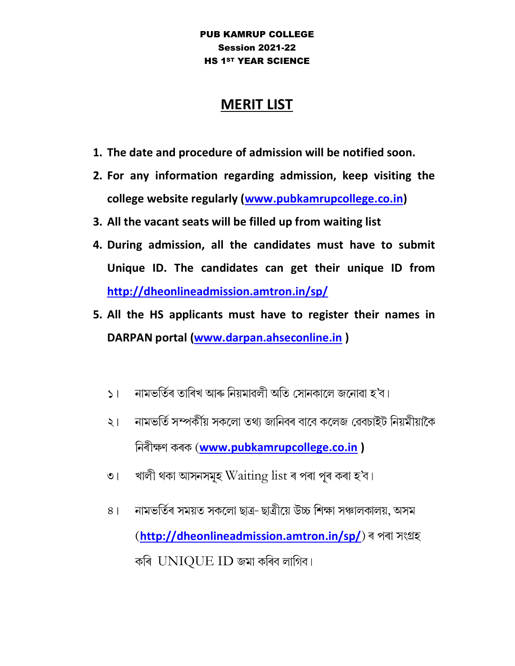## PUB KAMRUP COLLEGE Session 2021-22 HS 1ST YEAR SCIENCE

## MERIT LIST

- 1. The date and procedure of admission will be notified soon.
- 2. For any information regarding admission, keep visiting the college website regularly (www.pubkamrupcollege.co.in)
- 3. All the vacant seats will be filled up from waiting list
- 4. During admission, all the candidates must have to submit Unique ID. The candidates can get their unique ID from http://dheonlineadmission.amtron.in/sp/
- 5. All the HS applicants must have to register their names in DARPAN portal (www.darpan.ahseconline.in )
	- নামভৰ্তিৰ তাৰিখ আৰু নিয়মাৱলী অতি সোনকালে জনোৱা হ'ব।  $51<sup>2</sup>$
	- নামভৰ্তি সম্পৰ্কীয় সকলো তথ্য জানিবৰ বাবে কলেজ ৱেবচাইট নিয়মীয়াকৈ  $\geq 1$ নিৰীক্ষণ কৰক (www.pubkamrupcollege.co.in )
	- খালী থকা আসনসমূহ  $\operatorname{Waiting}\operatorname{list}$ ৰ পৰা পূৰ কৰা হ'ব।  $\overline{O}$
	- নামভৰ্তিৰ সময়ত সকলো ছাত্ৰ-ছাত্ৰীয়ে উচ্চ শিক্ষা সঞ্চালকালয়, অসম  $8<sup>1</sup>$ (http://dheonlineadmission.amtron.in/sp/) ৰ পৰা সংগ্ৰহ কৰি  $UNIOUEID$  জমা কৰিব লাগিব।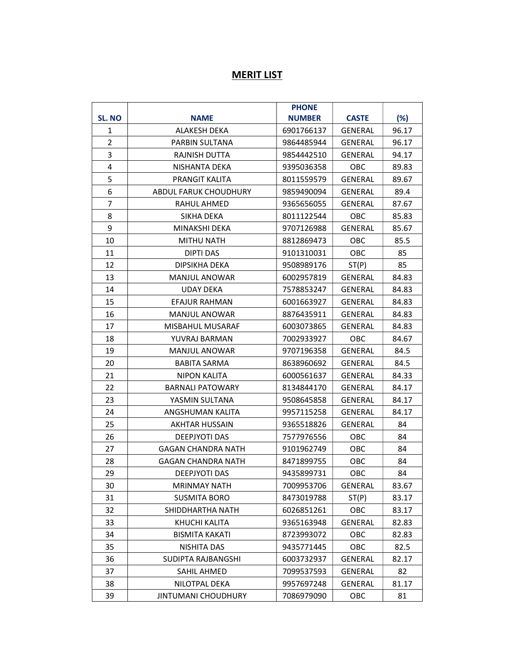## **MERIT LIST**

|                |                              | <b>PHONE</b>  |                |        |
|----------------|------------------------------|---------------|----------------|--------|
| SL. NO         | <b>NAME</b>                  | <b>NUMBER</b> | <b>CASTE</b>   | $(\%)$ |
| 1              | <b>ALAKESH DEKA</b>          | 6901766137    | <b>GENERAL</b> | 96.17  |
| $\overline{2}$ | PARBIN SULTANA               | 9864485944    | GENERAL        | 96.17  |
| 3              | RAJNISH DUTTA                | 9854442510    | <b>GENERAL</b> | 94.17  |
| 4              | NISHANTA DEKA                | 9395036358    | <b>OBC</b>     | 89.83  |
| 5              | <b>PRANGIT KALITA</b>        | 8011559579    | <b>GENERAL</b> | 89.67  |
| 6              | <b>ABDUL FARUK CHOUDHURY</b> | 9859490094    | GENERAL        | 89.4   |
| $\overline{7}$ | RAHUL AHMED                  | 9365656055    | <b>GENERAL</b> | 87.67  |
| 8              | SIKHA DEKA                   | 8011122544    | OBC            | 85.83  |
| 9              | MINAKSHI DEKA                | 9707126988    | <b>GENERAL</b> | 85.67  |
| 10             | MITHU NATH                   | 8812869473    | OBC            | 85.5   |
| 11             | <b>DIPTI DAS</b>             | 9101310031    | <b>OBC</b>     | 85     |
| 12             | DIPSIKHA DEKA                | 9508989176    | ST(P)          | 85     |
| 13             | <b>MANJUL ANOWAR</b>         | 6002957819    | GENERAL        | 84.83  |
| 14             | UDAY DEKA                    | 7578853247    | GENERAL        | 84.83  |
| 15             | <b>EFAJUR RAHMAN</b>         | 6001663927    | GENERAL        | 84.83  |
| 16             | <b>MANJUL ANOWAR</b>         | 8876435911    | GENERAL        | 84.83  |
| 17             | MISBAHUL MUSARAF             | 6003073865    | <b>GENERAL</b> | 84.83  |
| 18             | YUVRAJ BARMAN                | 7002933927    | <b>OBC</b>     | 84.67  |
| 19             | <b>MANJUL ANOWAR</b>         | 9707196358    | GENERAL        | 84.5   |
| 20             | <b>BABITA SARMA</b>          | 8638960692    | GENERAL        | 84.5   |
| 21             | NIPON KALITA                 | 6000561637    | GENERAL        | 84.33  |
| 22             | <b>BARNALI PATOWARY</b>      | 8134844170    | GENERAL        | 84.17  |
| 23             | YASMIN SULTANA               | 9508645858    | GENERAL        | 84.17  |
| 24             | ANGSHUMAN KALITA             | 9957115258    | <b>GENERAL</b> | 84.17  |
| 25             | <b>AKHTAR HUSSAIN</b>        | 9365518826    | <b>GENERAL</b> | 84     |
| 26             | <b>DEEPJYOTI DAS</b>         | 7577976556    | OBC            | 84     |
| 27             | GAGAN CHANDRA NATH           | 9101962749    | OBC            | 84     |
| 28             | <b>GAGAN CHANDRA NATH</b>    | 8471899755    | OBC            | 84     |
| 29             | DEEPJYOTI DAS                | 9435899731    | OBC            | 84     |
| 30             | <b>MRINMAY NATH</b>          | 7009953706    | GENERAL        | 83.67  |
| 31             | <b>SUSMITA BORO</b>          | 8473019788    | ST(P)          | 83.17  |
| 32             | SHIDDHARTHA NATH             | 6026851261    | OBC            | 83.17  |
| 33             | KHUCHI KALITA                | 9365163948    | GENERAL        | 82.83  |
| 34             | <b>BISMITA KAKATI</b>        | 8723993072    | OBC            | 82.83  |
| 35             | NISHITA DAS                  | 9435771445    | OBC            | 82.5   |
| 36             | SUDIPTA RAJBANGSHI           | 6003732937    | <b>GENERAL</b> | 82.17  |
| 37             | SAHIL AHMED                  | 7099537593    | GENERAL        | 82     |
| 38             | NILOTPAL DEKA                | 9957697248    | <b>GENERAL</b> | 81.17  |
| 39             | <b>JINTUMANI CHOUDHURY</b>   | 7086979090    | OBC            | 81     |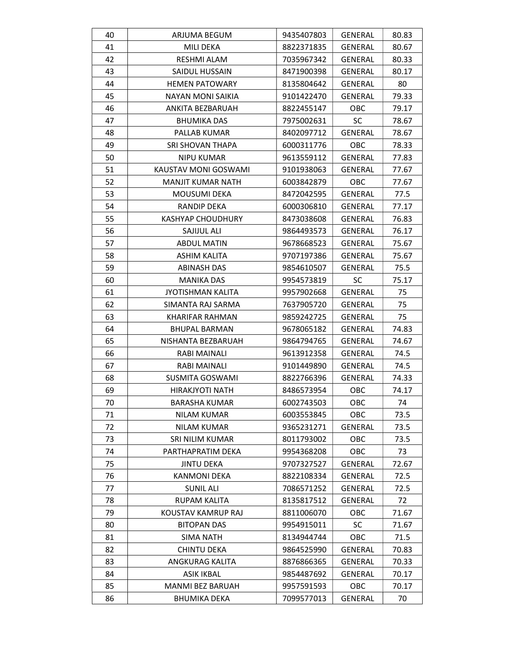| 40 | ARJUMA BEGUM             | 9435407803 | <b>GENERAL</b> | 80.83 |
|----|--------------------------|------------|----------------|-------|
| 41 | MILI DEKA                | 8822371835 | <b>GENERAL</b> | 80.67 |
| 42 | RESHMI ALAM              | 7035967342 | <b>GENERAL</b> | 80.33 |
| 43 | SAIDUL HUSSAIN           | 8471900398 | <b>GENERAL</b> | 80.17 |
| 44 | <b>HEMEN PATOWARY</b>    | 8135804642 | GENERAL        | 80    |
| 45 | <b>NAYAN MONI SAIKIA</b> | 9101422470 | GENERAL        | 79.33 |
| 46 | ANKITA BEZBARUAH         | 8822455147 | OBC            | 79.17 |
| 47 | <b>BHUMIKA DAS</b>       | 7975002631 | <b>SC</b>      | 78.67 |
| 48 | PALLAB KUMAR             | 8402097712 | <b>GENERAL</b> | 78.67 |
| 49 | <b>SRI SHOVAN THAPA</b>  | 6000311776 | <b>OBC</b>     | 78.33 |
| 50 | NIPU KUMAR               | 9613559112 | GENERAL        | 77.83 |
| 51 | KAUSTAV MONI GOSWAMI     | 9101938063 | GENERAL        | 77.67 |
| 52 | <b>MANJIT KUMAR NATH</b> | 6003842879 | OBC            | 77.67 |
| 53 | <b>MOUSUMI DEKA</b>      | 8472042595 | GENERAL        | 77.5  |
| 54 | RANDIP DEKA              | 6000306810 | <b>GENERAL</b> | 77.17 |
| 55 | <b>KASHYAP CHOUDHURY</b> | 8473038608 | GENERAL        | 76.83 |
| 56 | SAJIJUL ALI              | 9864493573 | GENERAL        | 76.17 |
| 57 | <b>ABDUL MATIN</b>       | 9678668523 | <b>GENERAL</b> | 75.67 |
| 58 | ASHIM KALITA             | 9707197386 | GENERAL        | 75.67 |
| 59 | <b>ABINASH DAS</b>       | 9854610507 | <b>GENERAL</b> | 75.5  |
| 60 | <b>MANIKA DAS</b>        | 9954573819 | SC             | 75.17 |
| 61 | <b>JYOTISHMAN KALITA</b> | 9957902668 | GENERAL        | 75    |
| 62 | SIMANTA RAJ SARMA        | 7637905720 | <b>GENERAL</b> | 75    |
| 63 | KHARIFAR RAHMAN          | 9859242725 | GENERAL        | 75    |
| 64 | <b>BHUPAL BARMAN</b>     | 9678065182 | GENERAL        | 74.83 |
| 65 | NISHANTA BEZBARUAH       | 9864794765 | GENERAL        | 74.67 |
| 66 | RABI MAINALI             | 9613912358 | GENERAL        | 74.5  |
| 67 | RABI MAINALI             | 9101449890 | GENERAL        | 74.5  |
| 68 | SUSMITA GOSWAMI          | 8822766396 | GENERAL        | 74.33 |
| 69 | HIRAKJYOTI NATH          | 8486573954 | OBC            | 74.17 |
| 70 | <b>BARASHA KUMAR</b>     | 6002743503 | OBC            | 74    |
| 71 | <b>NILAM KUMAR</b>       | 6003553845 | OBC            | 73.5  |
| 72 | <b>NILAM KUMAR</b>       | 9365231271 | <b>GENERAL</b> | 73.5  |
| 73 | SRI NILIM KUMAR          | 8011793002 | OBC            | 73.5  |
| 74 | PARTHAPRATIM DEKA        | 9954368208 | OBC            | 73    |
| 75 | <b>JINTU DEKA</b>        | 9707327527 | GENERAL        | 72.67 |
| 76 | <b>KANMONI DEKA</b>      | 8822108334 | <b>GENERAL</b> | 72.5  |
| 77 | <b>SUNIL ALI</b>         | 7086571252 | GENERAL        | 72.5  |
| 78 | <b>RUPAM KALITA</b>      | 8135817512 | <b>GENERAL</b> | 72    |
| 79 | KOUSTAV KAMRUP RAJ       | 8811006070 | OBC            | 71.67 |
| 80 | <b>BITOPAN DAS</b>       | 9954915011 | <b>SC</b>      | 71.67 |
| 81 | SIMA NATH                | 8134944744 | OBC            | 71.5  |
| 82 | <b>CHINTU DEKA</b>       | 9864525990 | <b>GENERAL</b> | 70.83 |
| 83 | ANGKURAG KALITA          | 8876866365 | <b>GENERAL</b> | 70.33 |
| 84 | <b>ASIK IKBAL</b>        | 9854487692 | GENERAL        | 70.17 |
| 85 | MANMI BEZ BARUAH         | 9957591593 | <b>OBC</b>     | 70.17 |
| 86 | <b>BHUMIKA DEKA</b>      | 7099577013 | GENERAL        | 70    |